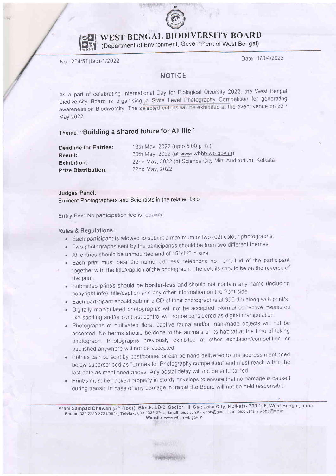



WEST BENGAL BIODIVERSITY BOARD

(Department of Environment, Government of West Bengal)

No 204/5T(Bio)-112022

Date: 07/04/2022

## **NOTICE**

As a part of celebrating International Day for Biological Diversity 2022, the West Bengal Biodiversity Board is organising a State Level Photography Competition for generating awareness on Biodiversity. The selected entries will be exhibited at the event venue on 22<sup>nd</sup> May 2022

# Theme: "Building a shared future for All life"

| <b>Deadline for Entries:</b> | 13th May, 2022 (upto 5:00 p.m.)                           |
|------------------------------|-----------------------------------------------------------|
| Result: .                    | 20th May, 2022 (at www.wbbb.wb.gov.in)                    |
| Exhibition:                  | 22nd May, 2022 (at Science City Mini Auditorium, Kolkata) |
| <b>Prize Distribution:</b>   | 22nd May, 2022                                            |

#### Judges Panel:

Eminent Photographers and Scientists in the related field

Entry Fee: No participation fee is required

### Rules & Regulations:

- . Each parlicipant is allowed to submit a maximum of two (02) colour photographs
- . Two photographs sent by the participant/s should be from two ditferent themes
- $\bullet$  All entries should be unmounted and of 15"x12" in size
- Each print must bear the name, address, telephone no , email id of the participant together with the title/caption of the photograph. The details should be on the reverse of the print.
- . Submitted print/s should be border-less and should not contain any name (including copyright info), title/caption and any other information on the front side
- Each participant should submit a CD of their photograph/s at 300 dpi along with print/s
- . Digitally manipulated photograph/s will not be accepted. Normal corrective measures like spotting and/or contrast control will not be considered as digital manipulation.
- . Photographs of cultivated flora, captive fauna and/or man-made objects will not be accepted. No herms should be done to the animals or its habitat at the time of taking photograph. Photographs previously exhibited at other exhibition/competition or published anywhere will not be accepted
- . Entries canbe sent by post/courier or can be hand-delivered to the address mentroned below superscribed as "Entries for Photography competition" and must reach within the last date as mentioned above. Any postal delay will not be entertained
- . Print/s must be packed properly in sturdy envelops to ensure that no damage is caused during transit. In case of any damage in transit the Board will not be held responsible

**WARRANGE CAPIT** 

Prani Sampad Bhawan (5th Floor), Block: LB-2, Sector: III, Sait Lake City, Kolkata- 700 106, West Bengal, India Phone: 033 2335 2731/5954, Telefax: 033 2335 2763, Emall: biodiversity wbbb@gmall.com, biodiversity wbbb@nic in Wobsito www wbbb wb gov in